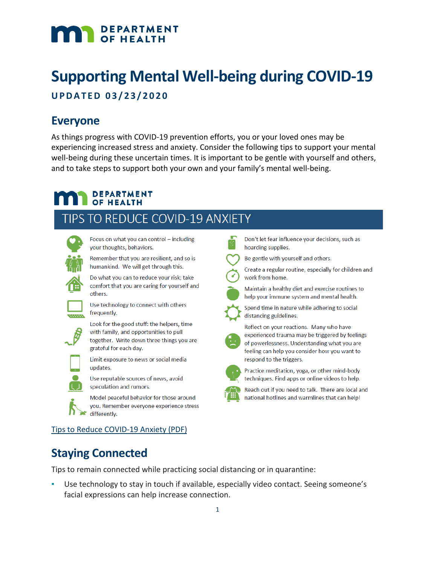# DEPARTMENT

# **Supporting Mental Well-being during COVID-19**

# **UPDATED 03/ 2 3 /2020**

# **Everyone**

As things progress with COVID-19 prevention efforts, you or your loved ones may be experiencing increased stress and anxiety. Consider the following tips to support your mental well-being during these uncertain times. It is important to be gentle with yourself and others, and to take steps to support both your own and your family's mental well-being.

## **DEPARTMENT OF HEALTH**

others.

# TIPS TO REDUCE COVID-19 ANXIETY



Focus on what you can control - including your thoughts, behaviors.

Remember that you are resilient, and so is humankind. We will get through this.

Do what you can to reduce your risk; take comfort that you are caring for yourself and

Use technology to connect with others frequently.

Look for the good stuff: the helpers, time with family, and opportunities to pull together. Write down three things you are grateful for each day.

Limit exposure to news or social media updates.

Use reputable sources of news, avoid speculation and rumors.

Model peaceful behavior for those around you. Remember everyone experience stress differently.

Don't let fear influence your decisions, such as hoarding supplies.

Be gentle with yourself and others.

Create a regular routine, especially for children and work from home.



Maintain a healthy diet and exercise routines to help your immune system and mental health.



Spend time in nature while adhering to social distancing guidelines.



Reflect on your reactions. Many who have experienced trauma may be triggered by feelings of powerlessness. Understanding what you are feeling can help you consider how you want to respond to the triggers.



Practice meditation, yoga, or other mind-body techniques. Find apps or online videos to help.

Reach out if you need to talk. There are local and national hotlines and warmlines that can help!

## [Tips to Reduce COVID-19 Anxiety \(PDF\)](https://www.health.state.mn.us/docs/communities/mentalhealth/covidavoidanxiety.pdf)

# **Staying Connected**

Tips to remain connected while practicing social distancing or in quarantine:

Use technology to stay in touch if available, especially video contact. Seeing someone's facial expressions can help increase connection.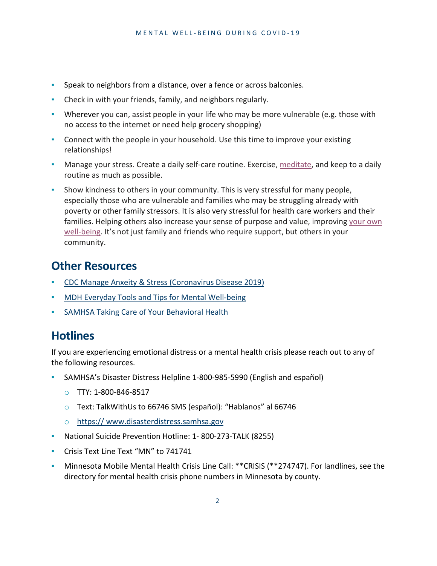- Speak to neighbors from a distance, over a fence or across balconies.
- Check in with your friends, family, and neighbors regularly.
- Wherever you can, assist people in your life who may be more vulnerable (e.g. those with no access to the internet or need help grocery shopping)
- Connect with the people in your household. Use this time to improve your existing relationships!
- **Manage your stress. Create a daily self-care routine. Exercise, [meditate,](https://gcc01.safelinks.protection.outlook.com/?url=https%3A%2F%2Fwww.ncbi.nlm.nih.gov%2Fpubmed%2F31755300&data=02%7C01%7Canna.lynn%40state.mn.us%7C6088644a6da443657e1f08d7ca8ae786%7Ceb14b04624c445198f26b89c2159828c%7C0%7C0%7C637200570251695321&sdata=l6NAP9yntndw0S8tdNzBhlJDfgk9RODSnIwZzG4Gf9Y%3D&reserved=0) and keep to a daily** routine as much as possible.
- **•** Show kindness to others in your community. This is very stressful for many people, especially those who are vulnerable and families who may be struggling already with poverty or other family stressors. It is also very stressful for health care workers and their families. Helping others also increase your sense of purpose and value, improving [your](https://gcc01.safelinks.protection.outlook.com/?url=https%3A%2F%2Fwww.ncbi.nlm.nih.gov%2Fpubmed%2F20085397&data=02%7C01%7Canna.lynn%40state.mn.us%7C6088644a6da443657e1f08d7ca8ae786%7Ceb14b04624c445198f26b89c2159828c%7C0%7C0%7C637200570251705276&sdata=292W0hILZ%2FmCKJuCvV%2BR%2BY72PuQ1zhgkUcZeO1juRss%3D&reserved=0) own [well-being.](https://gcc01.safelinks.protection.outlook.com/?url=https%3A%2F%2Fwww.ncbi.nlm.nih.gov%2Fpubmed%2F20085397&data=02%7C01%7Canna.lynn%40state.mn.us%7C6088644a6da443657e1f08d7ca8ae786%7Ceb14b04624c445198f26b89c2159828c%7C0%7C0%7C637200570251705276&sdata=292W0hILZ%2FmCKJuCvV%2BR%2BY72PuQ1zhgkUcZeO1juRss%3D&reserved=0) It's not just family and friends who require support, but others in your community.

# **Other Resources**

- [CDC Manage Anxeity & Stress \(Coronavirus Disease 2019\)](https://www.cdc.gov/coronavirus/2019-ncov/prepare/managing-stress-anxiety.html?CDC_AA_refVal=https%3A%2F%2Fwww.cdc.gov%2Fcoronavirus%2F2019-ncov%2Fabout%2Fcoping.html)
- **[MDH Everyday Tools and Tips for Mental Well-being](https://www.health.state.mn.us/docs/communities/mentalhealth/quickcardmwb.pdf)**
- [SAMHSA Taking Care of Your Behavioral Health](https://www.samhsa.gov/sites/default/files/tips-social-distancing-quarantine-isolation-031620.pdf)

# **Hotlines**

If you are experiencing emotional distress or a mental health crisis please reach out to any of the following resources.

- SAMHSA's Disaster Distress Helpline 1-800-985-5990 (English and español)
	- o TTY: 1-800-846-8517
	- o Text: TalkWithUs to 66746 SMS (español): "Hablanos" al 66746
	- o https:// www.disasterdistress.samhsa.gov
- National Suicide Prevention Hotline: 1-800-273-TALK (8255)
- Crisis Text Line Text "MN" to 741741
- Minnesota Mobile Mental Health Crisis Line Call: \*\*CRISIS (\*\*274747). For landlines, see the directory for mental health crisis phone numbers in Minnesota by county.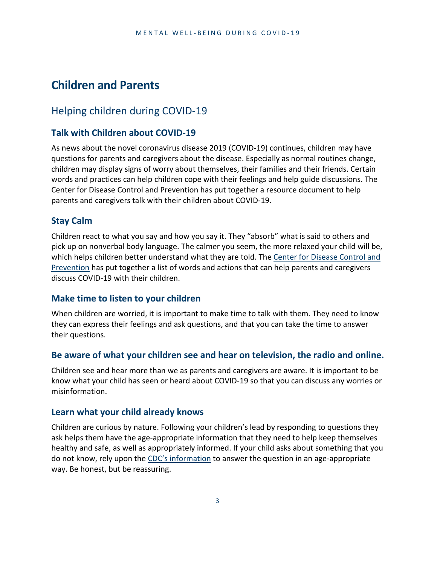# **Children and Parents**

## Helping children during COVID-19

### **Talk with Children about COVID-19**

As news about the novel coronavirus disease 2019 (COVID-19) continues, children may have questions for parents and caregivers about the disease. Especially as normal routines change, children may display signs of worry about themselves, their families and their friends. Certain words and practices can help children cope with their feelings and help guide discussions. The Center for Disease Control and Prevention has put together a resource document to help parents and caregivers talk with their children about COVID-19.

#### **Stay Calm**

Children react to what you say and how you say it. They "absorb" what is said to others and pick up on nonverbal body language. The calmer you seem, the more relaxed your child will be, which helps children better understand what they are told. The Center for Disease Control and Prevention has put together a list of words and actions that can help parents and caregivers discuss COVID-19 with their children.

#### **Make time to listen to your children**

When children are worried, it is important to make time to talk with them. They need to know they can express their feelings and ask questions, and that you can take the time to answer their questions.

#### **Be aware of what your children see and hear on television, the radio and online.**

Children see and hear more than we as parents and caregivers are aware. It is important to be know what your child has seen or heard about COVID-19 so that you can discuss any worries or misinformation.

#### **Learn what your child already knows**

Children are curious by nature. Following your children's lead by responding to questions they ask helps them have the age-appropriate information that they need to help keep themselves healthy and safe, as well as appropriately informed. If your child asks about something that you do not know, rely upon the CDC's information to answer the question in an age-appropriate way. Be honest, but be reassuring.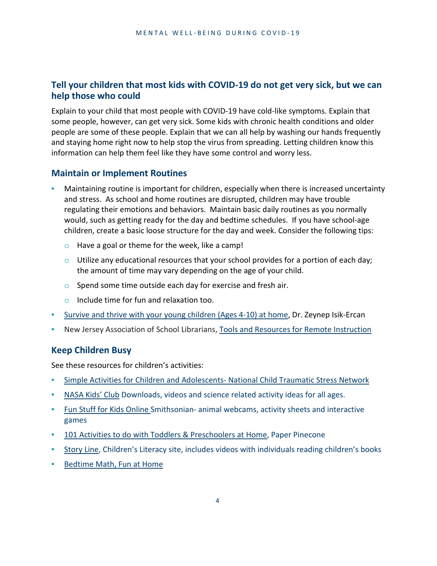## **Tell your children that most kids with COVID-19 do not get very sick, but we can help those who could**

Explain to your child that most people with COVID-19 have cold-like symptoms. Explain that some people, however, can get very sick. Some kids with chronic health conditions and older people are some of these people. Explain that we can all help by washing our hands frequently and staying home right now to help stop the virus from spreading. Letting children know this information can help them feel like they have some control and worry less.

### **Maintain or Implement Routines**

- Maintaining routine is important for children, especially when there is increased uncertainty and stress. As school and home routines are disrupted, children may have trouble regulating their emotions and behaviors. Maintain basic daily routines as you normally would, such as getting ready for the day and bedtime schedules. If you have school-age children, create a basic loose structure for the day and week. Consider the following tips:
	- $\circ$  Have a goal or theme for the week, like a camp!
	- $\circ$  Utilize any educational resources that your school provides for a portion of each day; the amount of time may vary depending on the age of your child.
	- o Spend some time outside each day for exercise and fresh air.
	- o Include time for fun and relaxation too.
- [Survive and thrive with your young children \(Ages 4-10\) at home,](https://medium.com/@zeynep.isik02/survive-and-thrive-with-your-young-children-ages-4-10-at-home-fea2df7c97f7) Dr. Zeynep Isik-Ercan
- New Jersey Association of School Librarians, Tools and Resources for Remote [Instruction](https://wakelet.com/wake/118169c2-0557-47af-bc6b-0ed4dda85ccb)

### **Keep Children Busy**

See these resources for children's activities:

- [Simple Activities for Children and Adolescents-](https://www.nctsn.org/resources/simple-activities-children-and-adolescents) National Child Traumatic Stress Network
- NASA Kids' Club [Downloads,](https://www.nasa.gov/kidsclub/index.html) videos and science related activity ideas for all ages.
- Fun Stuff for Kids Online [Smithsonian-](https://www.si.edu/kids) animal webcams, activity sheets and interactive [games](https://www.si.edu/kids)
- 101 Activities to do with Toddlers & [Preschoolers](https://www.paperpinecone.com/blog/101-activities-do-home-toddlers-preschoolers) at Home, Paper Pinecone
- **EXECTS 15 [Story](https://www.storylineonline.net/) Line, Children's Literacy site, includes videos with individuals reading children's books**
- [Bedtime Math,](http://bedtimemath.org/fun-math-at-home/) Fun at Home